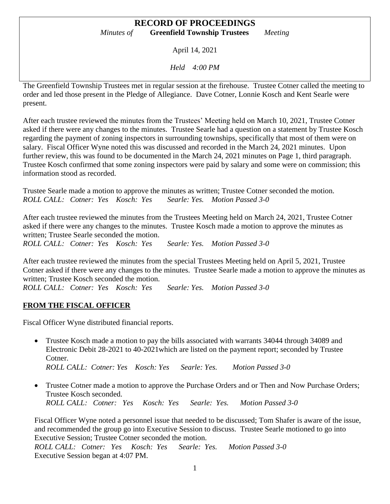April 14, 2021

*Held 4:00 PM*

The Greenfield Township Trustees met in regular session at the firehouse. Trustee Cotner called the meeting to order and led those present in the Pledge of Allegiance. Dave Cotner, Lonnie Kosch and Kent Searle were present.

After each trustee reviewed the minutes from the Trustees' Meeting held on March 10, 2021, Trustee Cotner asked if there were any changes to the minutes. Trustee Searle had a question on a statement by Trustee Kosch regarding the payment of zoning inspectors in surrounding townships, specifically that most of them were on salary. Fiscal Officer Wyne noted this was discussed and recorded in the March 24, 2021 minutes. Upon further review, this was found to be documented in the March 24, 2021 minutes on Page 1, third paragraph. Trustee Kosch confirmed that some zoning inspectors were paid by salary and some were on commission; this information stood as recorded.

Trustee Searle made a motion to approve the minutes as written; Trustee Cotner seconded the motion. *ROLL CALL: Cotner: Yes Kosch: Yes Searle: Yes. Motion Passed 3-0*

After each trustee reviewed the minutes from the Trustees Meeting held on March 24, 2021, Trustee Cotner asked if there were any changes to the minutes. Trustee Kosch made a motion to approve the minutes as written; Trustee Searle seconded the motion.

*ROLL CALL: Cotner: Yes Kosch: Yes Searle: Yes. Motion Passed 3-0*

After each trustee reviewed the minutes from the special Trustees Meeting held on April 5, 2021, Trustee Cotner asked if there were any changes to the minutes. Trustee Searle made a motion to approve the minutes as written; Trustee Kosch seconded the motion.

*ROLL CALL: Cotner: Yes Kosch: Yes Searle: Yes. Motion Passed 3-0*

#### **FROM THE FISCAL OFFICER**

Fiscal Officer Wyne distributed financial reports.

- Trustee Kosch made a motion to pay the bills associated with warrants 34044 through 34089 and Electronic Debit 28-2021 to 40-2021which are listed on the payment report; seconded by Trustee Cotner. *ROLL CALL: Cotner: Yes Kosch: Yes Searle: Yes. Motion Passed 3-0*
- Trustee Cotner made a motion to approve the Purchase Orders and or Then and Now Purchase Orders; Trustee Kosch seconded. *ROLL CALL: Cotner: Yes Kosch: Yes Searle: Yes. Motion Passed 3-0*

Fiscal Officer Wyne noted a personnel issue that needed to be discussed; Tom Shafer is aware of the issue, and recommended the group go into Executive Session to discuss. Trustee Searle motioned to go into Executive Session; Trustee Cotner seconded the motion.

*ROLL CALL: Cotner: Yes Kosch: Yes Searle: Yes. Motion Passed 3-0* Executive Session began at 4:07 PM.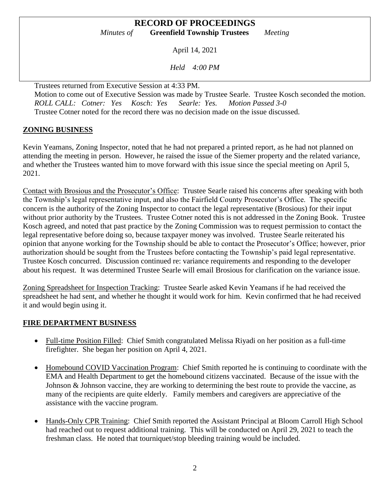April 14, 2021

*Held 4:00 PM*

Trustees returned from Executive Session at 4:33 PM. Motion to come out of Executive Session was made by Trustee Searle. Trustee Kosch seconded the motion. *ROLL CALL: Cotner: Yes Kosch: Yes Searle: Yes. Motion Passed 3-0* Trustee Cotner noted for the record there was no decision made on the issue discussed.

# **ZONING BUSINESS**

Kevin Yeamans, Zoning Inspector, noted that he had not prepared a printed report, as he had not planned on attending the meeting in person. However, he raised the issue of the Siemer property and the related variance, and whether the Trustees wanted him to move forward with this issue since the special meeting on April 5, 2021.

Contact with Brosious and the Prosecutor's Office: Trustee Searle raised his concerns after speaking with both the Township's legal representative input, and also the Fairfield County Prosecutor's Office. The specific concern is the authority of the Zoning Inspector to contact the legal representative (Brosious) for their input without prior authority by the Trustees. Trustee Cotner noted this is not addressed in the Zoning Book. Trustee Kosch agreed, and noted that past practice by the Zoning Commission was to request permission to contact the legal representative before doing so, because taxpayer money was involved. Trustee Searle reiterated his opinion that anyone working for the Township should be able to contact the Prosecutor's Office; however, prior authorization should be sought from the Trustees before contacting the Township's paid legal representative. Trustee Kosch concurred. Discussion continued re: variance requirements and responding to the developer about his request. It was determined Trustee Searle will email Brosious for clarification on the variance issue.

Zoning Spreadsheet for Inspection Tracking: Trustee Searle asked Kevin Yeamans if he had received the spreadsheet he had sent, and whether he thought it would work for him. Kevin confirmed that he had received it and would begin using it.

#### **FIRE DEPARTMENT BUSINESS**

- Full-time Position Filled: Chief Smith congratulated Melissa Riyadi on her position as a full-time firefighter. She began her position on April 4, 2021.
- Homebound COVID Vaccination Program: Chief Smith reported he is continuing to coordinate with the EMA and Health Department to get the homebound citizens vaccinated. Because of the issue with the Johnson & Johnson vaccine, they are working to determining the best route to provide the vaccine, as many of the recipients are quite elderly. Family members and caregivers are appreciative of the assistance with the vaccine program.
- Hands-Only CPR Training: Chief Smith reported the Assistant Principal at Bloom Carroll High School had reached out to request additional training. This will be conducted on April 29, 2021 to teach the freshman class. He noted that tourniquet/stop bleeding training would be included.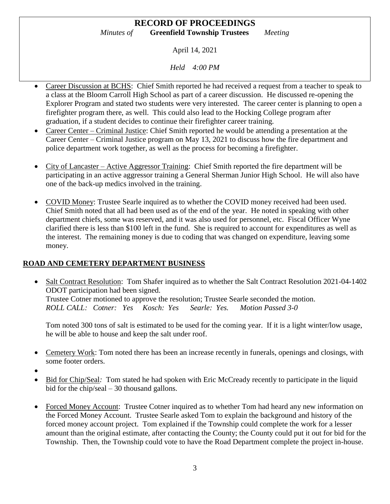April 14, 2021

*Held 4:00 PM*

- Career Discussion at BCHS: Chief Smith reported he had received a request from a teacher to speak to a class at the Bloom Carroll High School as part of a career discussion. He discussed re-opening the Explorer Program and stated two students were very interested. The career center is planning to open a firefighter program there, as well. This could also lead to the Hocking College program after graduation, if a student decides to continue their firefighter career training.
- Career Center Criminal Justice: Chief Smith reported he would be attending a presentation at the Career Center – Criminal Justice program on May 13, 2021 to discuss how the fire department and police department work together, as well as the process for becoming a firefighter.
- City of Lancaster Active Aggressor Training: Chief Smith reported the fire department will be participating in an active aggressor training a General Sherman Junior High School. He will also have one of the back-up medics involved in the training.
- COVID Money: Trustee Searle inquired as to whether the COVID money received had been used. Chief Smith noted that all had been used as of the end of the year. He noted in speaking with other department chiefs, some was reserved, and it was also used for personnel, etc. Fiscal Officer Wyne clarified there is less than \$100 left in the fund. She is required to account for expenditures as well as the interest. The remaining money is due to coding that was changed on expenditure, leaving some money.

# **ROAD AND CEMETERY DEPARTMENT BUSINESS**

• Salt Contract Resolution: Tom Shafer inquired as to whether the Salt Contract Resolution 2021-04-1402 ODOT participation had been signed. Trustee Cotner motioned to approve the resolution; Trustee Searle seconded the motion. *ROLL CALL: Cotner: Yes Kosch: Yes Searle: Yes. Motion Passed 3-0*

Tom noted 300 tons of salt is estimated to be used for the coming year. If it is a light winter/low usage, he will be able to house and keep the salt under roof.

- Cemetery Work: Tom noted there has been an increase recently in funerals, openings and closings, with some footer orders.
- $\bullet$
- Bid for Chip/Seal*:* Tom stated he had spoken with Eric McCready recently to participate in the liquid bid for the chip/seal – 30 thousand gallons.
- Forced Money Account: Trustee Cotner inquired as to whether Tom had heard any new information on the Forced Money Account. Trustee Searle asked Tom to explain the background and history of the forced money account project. Tom explained if the Township could complete the work for a lesser amount than the original estimate, after contacting the County; the County could put it out for bid for the Township. Then, the Township could vote to have the Road Department complete the project in-house.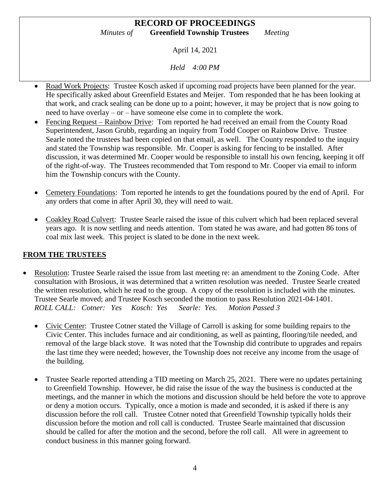April 14, 2021

*Held 4:00 PM*

- Road Work Projects: Trustee Kosch asked if upcoming road projects have been planned for the year. He specifically asked about Greenfield Estates and Meijer. Tom responded that he has been looking at that work, and crack sealing can be done up to a point; however, it may be project that is now going to need to have overlay – or – have someone else come in to complete the work.
- Fencing Request Rainbow Drive: Tom reported he had received an email from the County Road Superintendent, Jason Grubb, regarding an inquiry from Todd Cooper on Rainbow Drive. Trustee Searle noted the trustees had been copied on that email, as well. The County responded to the inquiry and stated the Township was responsible. Mr. Cooper is asking for fencing to be installed. After discussion, it was determined Mr. Cooper would be responsible to install his own fencing, keeping it off of the right-of-way. The Trustees recommended that Tom respond to Mr. Cooper via email to inform him the Township concurs with the County.
- Cemetery Foundations: Tom reported he intends to get the foundations poured by the end of April. For any orders that come in after April 30, they will need to wait.
- Coakley Road Culvert: Trustee Searle raised the issue of this culvert which had been replaced several years ago. It is now settling and needs attention. Tom stated he was aware, and had gotten 86 tons of coal mix last week. This project is slated to be done in the next week.

## **FROM THE TRUSTEES**

- Resolution: Trustee Searle raised the issue from last meeting re: an amendment to the Zoning Code. After consultation with Brosious, it was determined that a written resolution was needed. Trustee Searle created the written resolution, which he read to the group. A copy of the resolution is included with the minutes. Trustee Searle moved; and Trustee Kosch seconded the motion to pass Resolution 2021-04-1401. *ROLL CALL: Cotner: Yes Kosch: Yes Searle: Yes. Motion Passed 3*
	- Civic Center: Trustee Cotner stated the Village of Carroll is asking for some building repairs to the Civic Center. This includes furnace and air conditioning, as well as painting, flooring/tile needed, and removal of the large black stove. It was noted that the Township did contribute to upgrades and repairs the last time they were needed; however, the Township does not receive any income from the usage of the building.
	- Trustee Searle reported attending a TID meeting on March 25, 2021. There were no updates pertaining to Greenfield Township. However, he did raise the issue of the way the business is conducted at the meetings, and the manner in which the motions and discussion should be held before the vote to approve or deny a motion occurs. Typically, once a motion is made and seconded, it is asked if there is any discussion before the roll call. Trustee Cotner noted that Greenfield Township typically holds their discussion before the motion and roll call is conducted. Trustee Searle maintained that discussion should be called for after the motion and the second, before the roll call. All were in agreement to conduct business in this manner going forward.